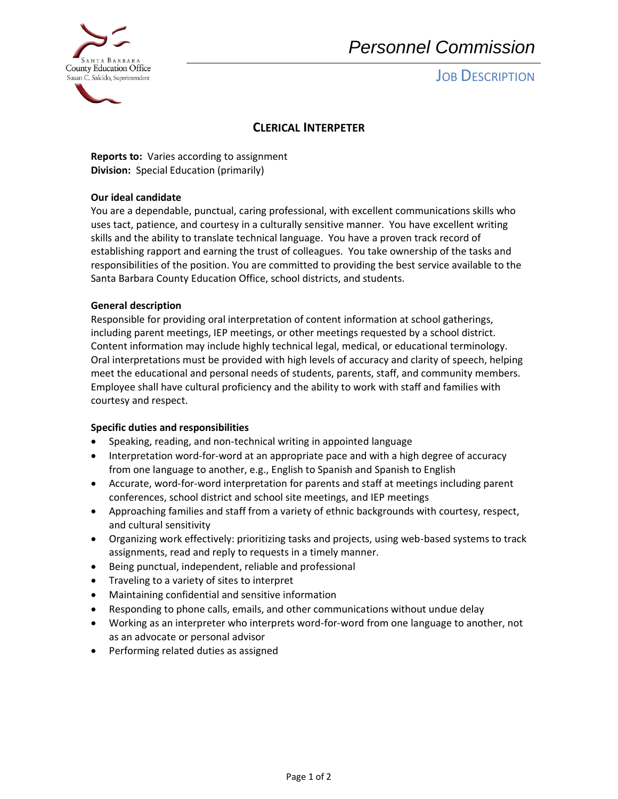

# *Personnel Commission*

# **JOB DESCRIPTION**

### **CLERICAL INTERPETER**

**Reports to:** Varies according to assignment **Division:** Special Education (primarily)

### **Our ideal candidate**

You are a dependable, punctual, caring professional, with excellent communications skills who uses tact, patience, and courtesy in a culturally sensitive manner. You have excellent writing skills and the ability to translate technical language. You have a proven track record of establishing rapport and earning the trust of colleagues. You take ownership of the tasks and responsibilities of the position. You are committed to providing the best service available to the Santa Barbara County Education Office, school districts, and students.

### **General description**

Responsible for providing oral interpretation of content information at school gatherings, including parent meetings, IEP meetings, or other meetings requested by a school district. Content information may include highly technical legal, medical, or educational terminology. Oral interpretations must be provided with high levels of accuracy and clarity of speech, helping meet the educational and personal needs of students, parents, staff, and community members. Employee shall have cultural proficiency and the ability to work with staff and families with courtesy and respect.

### **Specific duties and responsibilities**

- Speaking, reading, and non-technical writing in appointed language
- Interpretation word-for-word at an appropriate pace and with a high degree of accuracy from one language to another, e.g., English to Spanish and Spanish to English
- Accurate, word-for-word interpretation for parents and staff at meetings including parent conferences, school district and school site meetings, and IEP meetings
- Approaching families and staff from a variety of ethnic backgrounds with courtesy, respect, and cultural sensitivity
- Organizing work effectively: prioritizing tasks and projects, using web-based systems to track assignments, read and reply to requests in a timely manner.
- Being punctual, independent, reliable and professional
- Traveling to a variety of sites to interpret
- Maintaining confidential and sensitive information
- Responding to phone calls, emails, and other communications without undue delay
- Working as an interpreter who interprets word-for-word from one language to another, not as an advocate or personal advisor
- Performing related duties as assigned